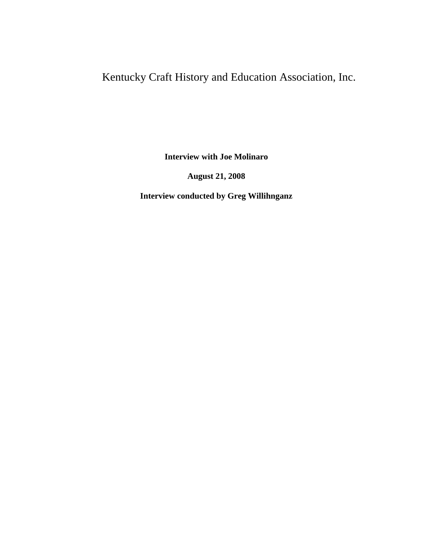# Kentucky Craft History and Education Association, Inc.

**Interview with Joe Molinaro**

**August 21, 2008**

**Interview conducted by Greg Willihnganz**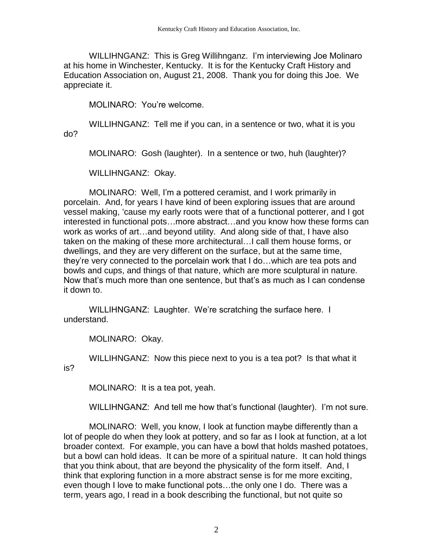WILLIHNGANZ: This is Greg Willihnganz. I'm interviewing Joe Molinaro at his home in Winchester, Kentucky. It is for the Kentucky Craft History and Education Association on, August 21, 2008. Thank you for doing this Joe. We appreciate it.

MOLINARO: You're welcome.

WILLIHNGANZ: Tell me if you can, in a sentence or two, what it is you do?

MOLINARO: Gosh (laughter). In a sentence or two, huh (laughter)?

WILLIHNGANZ: Okay.

MOLINARO: Well, I'm a pottered ceramist, and I work primarily in porcelain. And, for years I have kind of been exploring issues that are around vessel making, 'cause my early roots were that of a functional potterer, and I got interested in functional pots…more abstract…and you know how these forms can work as works of art…and beyond utility. And along side of that, I have also taken on the making of these more architectural…I call them house forms, or dwellings, and they are very different on the surface, but at the same time, they're very connected to the porcelain work that I do…which are tea pots and bowls and cups, and things of that nature, which are more sculptural in nature. Now that's much more than one sentence, but that's as much as I can condense it down to.

WILLIHNGANZ: Laughter. We're scratching the surface here. I understand.

MOLINARO: Okay.

WILLIHNGANZ: Now this piece next to you is a tea pot? Is that what it is?

MOLINARO: It is a tea pot, yeah.

WILLIHNGANZ: And tell me how that's functional (laughter). I'm not sure.

MOLINARO: Well, you know, I look at function maybe differently than a lot of people do when they look at pottery, and so far as I look at function, at a lot broader context. For example, you can have a bowl that holds mashed potatoes, but a bowl can hold ideas. It can be more of a spiritual nature. It can hold things that you think about, that are beyond the physicality of the form itself. And, I think that exploring function in a more abstract sense is for me more exciting, even though I love to make functional pots…the only one I do. There was a term, years ago, I read in a book describing the functional, but not quite so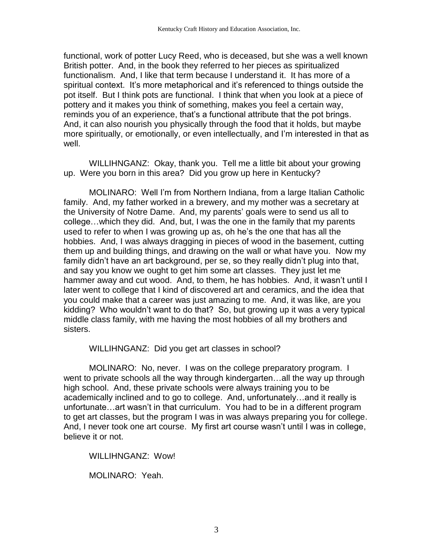functional, work of potter Lucy Reed, who is deceased, but she was a well known British potter. And, in the book they referred to her pieces as spiritualized functionalism. And, I like that term because I understand it. It has more of a spiritual context. It's more metaphorical and it's referenced to things outside the pot itself. But I think pots are functional. I think that when you look at a piece of pottery and it makes you think of something, makes you feel a certain way, reminds you of an experience, that's a functional attribute that the pot brings. And, it can also nourish you physically through the food that it holds, but maybe more spiritually, or emotionally, or even intellectually, and I'm interested in that as well.

WILLIHNGANZ: Okay, thank you. Tell me a little bit about your growing up. Were you born in this area? Did you grow up here in Kentucky?

MOLINARO: Well I'm from Northern Indiana, from a large Italian Catholic family. And, my father worked in a brewery, and my mother was a secretary at the University of Notre Dame. And, my parents' goals were to send us all to college…which they did. And, but, I was the one in the family that my parents used to refer to when I was growing up as, oh he's the one that has all the hobbies. And, I was always dragging in pieces of wood in the basement, cutting them up and building things, and drawing on the wall or what have you. Now my family didn't have an art background, per se, so they really didn't plug into that, and say you know we ought to get him some art classes. They just let me hammer away and cut wood. And, to them, he has hobbies. And, it wasn't until I later went to college that I kind of discovered art and ceramics, and the idea that you could make that a career was just amazing to me. And, it was like, are you kidding? Who wouldn't want to do that? So, but growing up it was a very typical middle class family, with me having the most hobbies of all my brothers and sisters.

WILLIHNGANZ: Did you get art classes in school?

MOLINARO: No, never. I was on the college preparatory program. I went to private schools all the way through kindergarten…all the way up through high school. And, these private schools were always training you to be academically inclined and to go to college. And, unfortunately…and it really is unfortunate…art wasn't in that curriculum. You had to be in a different program to get art classes, but the program I was in was always preparing you for college. And, I never took one art course. My first art course wasn't until I was in college, believe it or not.

WILLIHNGANZ: Wow!

MOLINARO: Yeah.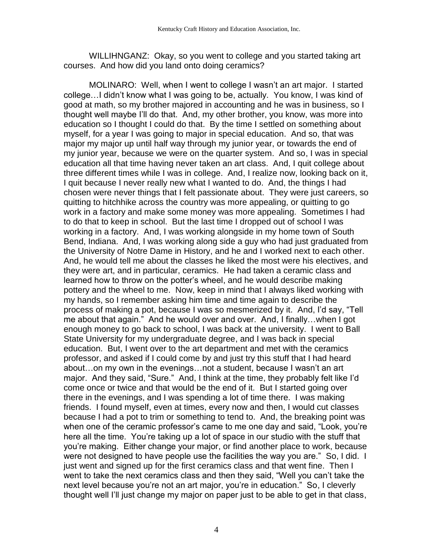WILLIHNGANZ: Okay, so you went to college and you started taking art courses. And how did you land onto doing ceramics?

MOLINARO: Well, when I went to college I wasn't an art major. I started college…I didn't know what I was going to be, actually. You know, I was kind of good at math, so my brother majored in accounting and he was in business, so I thought well maybe I'll do that. And, my other brother, you know, was more into education so I thought I could do that. By the time I settled on something about myself, for a year I was going to major in special education. And so, that was major my major up until half way through my junior year, or towards the end of my junior year, because we were on the quarter system. And so, I was in special education all that time having never taken an art class. And, I quit college about three different times while I was in college. And, I realize now, looking back on it, I quit because I never really new what I wanted to do. And, the things I had chosen were never things that I felt passionate about. They were just careers, so quitting to hitchhike across the country was more appealing, or quitting to go work in a factory and make some money was more appealing. Sometimes I had to do that to keep in school. But the last time I dropped out of school I was working in a factory. And, I was working alongside in my home town of South Bend, Indiana. And, I was working along side a guy who had just graduated from the University of Notre Dame in History, and he and I worked next to each other. And, he would tell me about the classes he liked the most were his electives, and they were art, and in particular, ceramics. He had taken a ceramic class and learned how to throw on the potter's wheel, and he would describe making pottery and the wheel to me. Now, keep in mind that I always liked working with my hands, so I remember asking him time and time again to describe the process of making a pot, because I was so mesmerized by it. And, I'd say, "Tell me about that again." And he would over and over. And, I finally…when I got enough money to go back to school, I was back at the university. I went to Ball State University for my undergraduate degree, and I was back in special education. But, I went over to the art department and met with the ceramics professor, and asked if I could come by and just try this stuff that I had heard about…on my own in the evenings…not a student, because I wasn't an art major. And they said, "Sure." And, I think at the time, they probably felt like I'd come once or twice and that would be the end of it. But I started going over there in the evenings, and I was spending a lot of time there. I was making friends. I found myself, even at times, every now and then, I would cut classes because I had a pot to trim or something to tend to. And, the breaking point was when one of the ceramic professor's came to me one day and said, "Look, you're here all the time. You're taking up a lot of space in our studio with the stuff that you're making. Either change your major, or find another place to work, because were not designed to have people use the facilities the way you are." So, I did. I just went and signed up for the first ceramics class and that went fine. Then I went to take the next ceramics class and then they said, "Well you can't take the next level because you're not an art major, you're in education." So, I cleverly thought well I'll just change my major on paper just to be able to get in that class,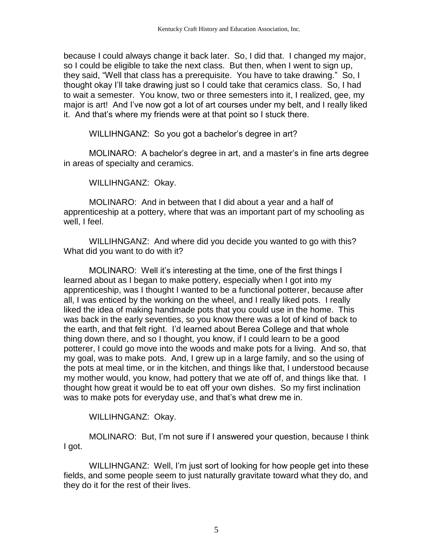because I could always change it back later. So, I did that. I changed my major, so I could be eligible to take the next class. But then, when I went to sign up, they said, "Well that class has a prerequisite. You have to take drawing." So, I thought okay I'll take drawing just so I could take that ceramics class. So, I had to wait a semester. You know, two or three semesters into it, I realized, gee, my major is art! And I've now got a lot of art courses under my belt, and I really liked it. And that's where my friends were at that point so I stuck there.

WILLIHNGANZ: So you got a bachelor's degree in art?

MOLINARO: A bachelor's degree in art, and a master's in fine arts degree in areas of specialty and ceramics.

WILLIHNGANZ: Okay.

MOLINARO: And in between that I did about a year and a half of apprenticeship at a pottery, where that was an important part of my schooling as well, I feel.

WILLIHNGANZ: And where did you decide you wanted to go with this? What did you want to do with it?

MOLINARO: Well it's interesting at the time, one of the first things I learned about as I began to make pottery, especially when I got into my apprenticeship, was I thought I wanted to be a functional potterer, because after all, I was enticed by the working on the wheel, and I really liked pots. I really liked the idea of making handmade pots that you could use in the home. This was back in the early seventies, so you know there was a lot of kind of back to the earth, and that felt right. I'd learned about Berea College and that whole thing down there, and so I thought, you know, if I could learn to be a good potterer, I could go move into the woods and make pots for a living. And so, that my goal, was to make pots. And, I grew up in a large family, and so the using of the pots at meal time, or in the kitchen, and things like that, I understood because my mother would, you know, had pottery that we ate off of, and things like that. I thought how great it would be to eat off your own dishes. So my first inclination was to make pots for everyday use, and that's what drew me in.

WILLIHNGANZ: Okay.

MOLINARO: But, I'm not sure if I answered your question, because I think I got.

WILLIHNGANZ: Well, I'm just sort of looking for how people get into these fields, and some people seem to just naturally gravitate toward what they do, and they do it for the rest of their lives.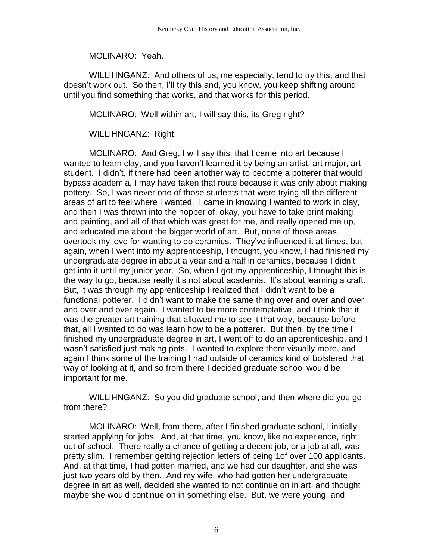MOLINARO: Yeah.

WILLIHNGANZ: And others of us, me especially, tend to try this, and that doesn't work out. So then, I'll try this and, you know, you keep shifting around until you find something that works, and that works for this period.

MOLINARO: Well within art, I will say this, its Greg right?

WILLIHNGANZ: Right.

MOLINARO: And Greg, I will say this: that I came into art because I wanted to learn clay, and you haven't learned it by being an artist, art major, art student. I didn't, if there had been another way to become a potterer that would bypass academia, I may have taken that route because it was only about making pottery. So, I was never one of those students that were trying all the different areas of art to feel where I wanted. I came in knowing I wanted to work in clay, and then I was thrown into the hopper of, okay, you have to take print making and painting, and all of that which was great for me, and really opened me up, and educated me about the bigger world of art. But, none of those areas overtook my love for wanting to do ceramics. They've influenced it at times, but again, when I went into my apprenticeship, I thought, you know, I had finished my undergraduate degree in about a year and a half in ceramics, because I didn't get into it until my junior year. So, when I got my apprenticeship, I thought this is the way to go, because really it's not about academia. It's about learning a craft. But, it was through my apprenticeship I realized that I didn't want to be a functional potterer. I didn't want to make the same thing over and over and over and over and over again. I wanted to be more contemplative, and I think that it was the greater art training that allowed me to see it that way, because before that, all I wanted to do was learn how to be a potterer. But then, by the time I finished my undergraduate degree in art, I went off to do an apprenticeship, and I wasn't satisfied just making pots. I wanted to explore them visually more, and again I think some of the training I had outside of ceramics kind of bolstered that way of looking at it, and so from there I decided graduate school would be important for me.

WILLIHNGANZ: So you did graduate school, and then where did you go from there?

MOLINARO: Well, from there, after I finished graduate school, I initially started applying for jobs. And, at that time, you know, like no experience, right out of school. There really a chance of getting a decent job, or a job at all, was pretty slim. I remember getting rejection letters of being 1of over 100 applicants. And, at that time, I had gotten married, and we had our daughter, and she was just two years old by then. And my wife, who had gotten her undergraduate degree in art as well, decided she wanted to not continue on in art, and thought maybe she would continue on in something else. But, we were young, and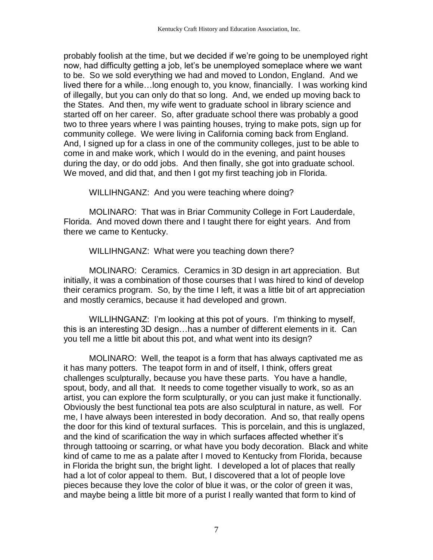probably foolish at the time, but we decided if we're going to be unemployed right now, had difficulty getting a job, let's be unemployed someplace where we want to be. So we sold everything we had and moved to London, England. And we lived there for a while…long enough to, you know, financially. I was working kind of illegally, but you can only do that so long. And, we ended up moving back to the States. And then, my wife went to graduate school in library science and started off on her career. So, after graduate school there was probably a good two to three years where I was painting houses, trying to make pots, sign up for community college. We were living in California coming back from England. And, I signed up for a class in one of the community colleges, just to be able to come in and make work, which I would do in the evening, and paint houses during the day, or do odd jobs. And then finally, she got into graduate school. We moved, and did that, and then I got my first teaching job in Florida.

WILLIHNGANZ: And you were teaching where doing?

MOLINARO: That was in Briar Community College in Fort Lauderdale, Florida. And moved down there and I taught there for eight years. And from there we came to Kentucky.

WILLIHNGANZ: What were you teaching down there?

MOLINARO: Ceramics. Ceramics in 3D design in art appreciation. But initially, it was a combination of those courses that I was hired to kind of develop their ceramics program. So, by the time I left, it was a little bit of art appreciation and mostly ceramics, because it had developed and grown.

WILLIHNGANZ: I'm looking at this pot of yours. I'm thinking to myself, this is an interesting 3D design…has a number of different elements in it. Can you tell me a little bit about this pot, and what went into its design?

MOLINARO: Well, the teapot is a form that has always captivated me as it has many potters. The teapot form in and of itself, I think, offers great challenges sculpturally, because you have these parts. You have a handle, spout, body, and all that. It needs to come together visually to work, so as an artist, you can explore the form sculpturally, or you can just make it functionally. Obviously the best functional tea pots are also sculptural in nature, as well. For me, I have always been interested in body decoration. And so, that really opens the door for this kind of textural surfaces. This is porcelain, and this is unglazed, and the kind of scarification the way in which surfaces affected whether it's through tattooing or scarring, or what have you body decoration. Black and white kind of came to me as a palate after I moved to Kentucky from Florida, because in Florida the bright sun, the bright light. I developed a lot of places that really had a lot of color appeal to them. But, I discovered that a lot of people love pieces because they love the color of blue it was, or the color of green it was, and maybe being a little bit more of a purist I really wanted that form to kind of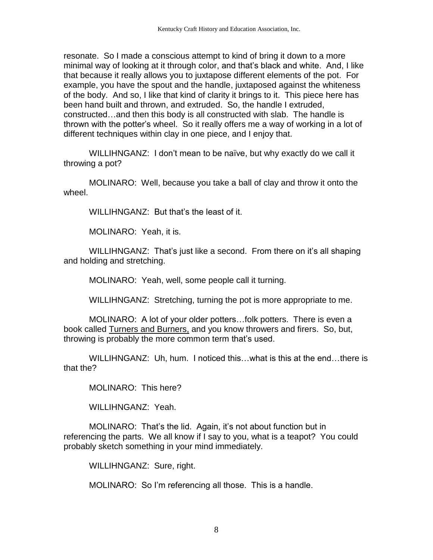resonate. So I made a conscious attempt to kind of bring it down to a more minimal way of looking at it through color, and that's black and white. And, I like that because it really allows you to juxtapose different elements of the pot. For example, you have the spout and the handle, juxtaposed against the whiteness of the body. And so, I like that kind of clarity it brings to it. This piece here has been hand built and thrown, and extruded. So, the handle I extruded, constructed…and then this body is all constructed with slab. The handle is thrown with the potter's wheel. So it really offers me a way of working in a lot of different techniques within clay in one piece, and I enjoy that.

WILLIHNGANZ: I don't mean to be naïve, but why exactly do we call it throwing a pot?

MOLINARO: Well, because you take a ball of clay and throw it onto the wheel.

WILLIHNGANZ: But that's the least of it.

MOLINARO: Yeah, it is.

WILLIHNGANZ: That's just like a second. From there on it's all shaping and holding and stretching.

MOLINARO: Yeah, well, some people call it turning.

WILLIHNGANZ: Stretching, turning the pot is more appropriate to me.

MOLINARO: A lot of your older potters…folk potters. There is even a book called Turners and Burners, and you know throwers and firers. So, but, throwing is probably the more common term that's used.

WILLIHNGANZ: Uh, hum. I noticed this…what is this at the end…there is that the?

MOLINARO: This here?

WILLIHNGANZ: Yeah.

MOLINARO: That's the lid. Again, it's not about function but in referencing the parts. We all know if I say to you, what is a teapot? You could probably sketch something in your mind immediately.

WILLIHNGANZ: Sure, right.

MOLINARO: So I'm referencing all those. This is a handle.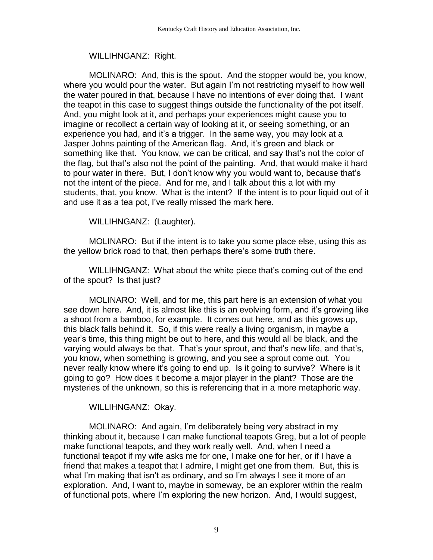## WILLIHNGANZ: Right.

MOLINARO: And, this is the spout. And the stopper would be, you know, where you would pour the water. But again I'm not restricting myself to how well the water poured in that, because I have no intentions of ever doing that. I want the teapot in this case to suggest things outside the functionality of the pot itself. And, you might look at it, and perhaps your experiences might cause you to imagine or recollect a certain way of looking at it, or seeing something, or an experience you had, and it's a trigger. In the same way, you may look at a Jasper Johns painting of the American flag. And, it's green and black or something like that. You know, we can be critical, and say that's not the color of the flag, but that's also not the point of the painting. And, that would make it hard to pour water in there. But, I don't know why you would want to, because that's not the intent of the piece. And for me, and I talk about this a lot with my students, that, you know. What is the intent? If the intent is to pour liquid out of it and use it as a tea pot, I've really missed the mark here.

WILLIHNGANZ: (Laughter).

MOLINARO: But if the intent is to take you some place else, using this as the yellow brick road to that, then perhaps there's some truth there.

WILLIHNGANZ: What about the white piece that's coming out of the end of the spout? Is that just?

MOLINARO: Well, and for me, this part here is an extension of what you see down here. And, it is almost like this is an evolving form, and it's growing like a shoot from a bamboo, for example. It comes out here, and as this grows up, this black falls behind it. So, if this were really a living organism, in maybe a year's time, this thing might be out to here, and this would all be black, and the varying would always be that. That's your sprout, and that's new life, and that's, you know, when something is growing, and you see a sprout come out. You never really know where it's going to end up. Is it going to survive? Where is it going to go? How does it become a major player in the plant? Those are the mysteries of the unknown, so this is referencing that in a more metaphoric way.

WILLIHNGANZ: Okay.

MOLINARO: And again, I'm deliberately being very abstract in my thinking about it, because I can make functional teapots Greg, but a lot of people make functional teapots, and they work really well. And, when I need a functional teapot if my wife asks me for one, I make one for her, or if I have a friend that makes a teapot that I admire, I might get one from them. But, this is what I'm making that isn't as ordinary, and so I'm always I see it more of an exploration. And, I want to, maybe in someway, be an explorer within the realm of functional pots, where I'm exploring the new horizon. And, I would suggest,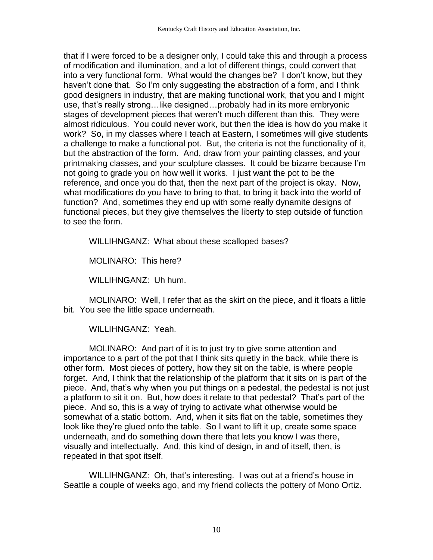that if I were forced to be a designer only, I could take this and through a process of modification and illumination, and a lot of different things, could convert that into a very functional form. What would the changes be? I don't know, but they haven't done that. So I'm only suggesting the abstraction of a form, and I think good designers in industry, that are making functional work, that you and I might use, that's really strong…like designed…probably had in its more embryonic stages of development pieces that weren't much different than this. They were almost ridiculous. You could never work, but then the idea is how do you make it work? So, in my classes where I teach at Eastern, I sometimes will give students a challenge to make a functional pot. But, the criteria is not the functionality of it, but the abstraction of the form. And, draw from your painting classes, and your printmaking classes, and your sculpture classes. It could be bizarre because I'm not going to grade you on how well it works. I just want the pot to be the reference, and once you do that, then the next part of the project is okay. Now, what modifications do you have to bring to that, to bring it back into the world of function? And, sometimes they end up with some really dynamite designs of functional pieces, but they give themselves the liberty to step outside of function to see the form.

WILLIHNGANZ: What about these scalloped bases?

MOLINARO: This here?

WILLIHNGANZ: Uh hum.

MOLINARO: Well, I refer that as the skirt on the piece, and it floats a little bit. You see the little space underneath.

WILLIHNGANZ: Yeah.

MOLINARO: And part of it is to just try to give some attention and importance to a part of the pot that I think sits quietly in the back, while there is other form. Most pieces of pottery, how they sit on the table, is where people forget. And, I think that the relationship of the platform that it sits on is part of the piece. And, that's why when you put things on a pedestal, the pedestal is not just a platform to sit it on. But, how does it relate to that pedestal? That's part of the piece. And so, this is a way of trying to activate what otherwise would be somewhat of a static bottom. And, when it sits flat on the table, sometimes they look like they're glued onto the table. So I want to lift it up, create some space underneath, and do something down there that lets you know I was there, visually and intellectually. And, this kind of design, in and of itself, then, is repeated in that spot itself.

WILLIHNGANZ: Oh, that's interesting. I was out at a friend's house in Seattle a couple of weeks ago, and my friend collects the pottery of Mono Ortiz.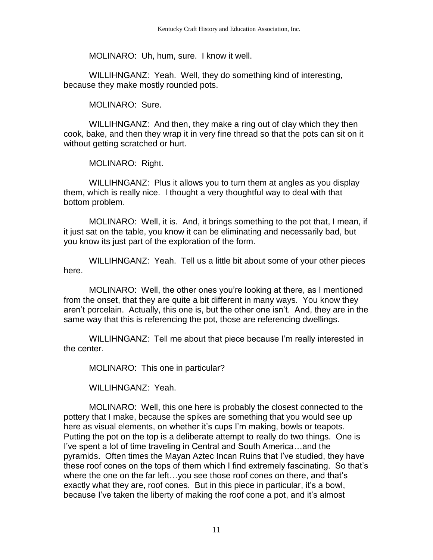MOLINARO: Uh, hum, sure. I know it well.

WILLIHNGANZ: Yeah. Well, they do something kind of interesting, because they make mostly rounded pots.

MOLINARO: Sure.

WILLIHNGANZ: And then, they make a ring out of clay which they then cook, bake, and then they wrap it in very fine thread so that the pots can sit on it without getting scratched or hurt.

MOLINARO: Right.

WILLIHNGANZ: Plus it allows you to turn them at angles as you display them, which is really nice. I thought a very thoughtful way to deal with that bottom problem.

MOLINARO: Well, it is. And, it brings something to the pot that, I mean, if it just sat on the table, you know it can be eliminating and necessarily bad, but you know its just part of the exploration of the form.

WILLIHNGANZ: Yeah. Tell us a little bit about some of your other pieces here.

MOLINARO: Well, the other ones you're looking at there, as I mentioned from the onset, that they are quite a bit different in many ways. You know they aren't porcelain. Actually, this one is, but the other one isn't. And, they are in the same way that this is referencing the pot, those are referencing dwellings.

WILLIHNGANZ: Tell me about that piece because I'm really interested in the center.

MOLINARO: This one in particular?

WILLIHNGANZ: Yeah.

MOLINARO: Well, this one here is probably the closest connected to the pottery that I make, because the spikes are something that you would see up here as visual elements, on whether it's cups I'm making, bowls or teapots. Putting the pot on the top is a deliberate attempt to really do two things. One is I've spent a lot of time traveling in Central and South America…and the pyramids. Often times the Mayan Aztec Incan Ruins that I've studied, they have these roof cones on the tops of them which I find extremely fascinating. So that's where the one on the far left…you see those roof cones on there, and that's exactly what they are, roof cones. But in this piece in particular, it's a bowl, because I've taken the liberty of making the roof cone a pot, and it's almost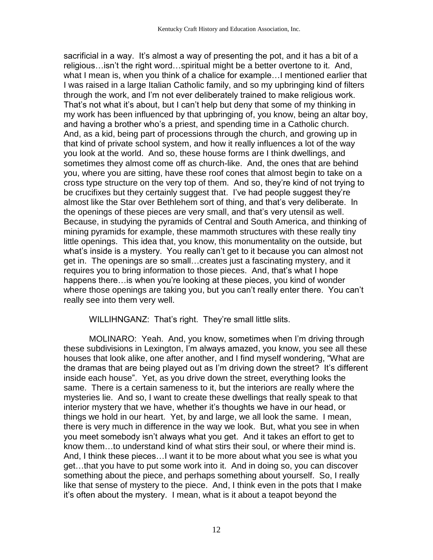sacrificial in a way. It's almost a way of presenting the pot, and it has a bit of a religious…isn't the right word…spiritual might be a better overtone to it. And, what I mean is, when you think of a chalice for example…I mentioned earlier that I was raised in a large Italian Catholic family, and so my upbringing kind of filters through the work, and I'm not ever deliberately trained to make religious work. That's not what it's about, but I can't help but deny that some of my thinking in my work has been influenced by that upbringing of, you know, being an altar boy, and having a brother who's a priest, and spending time in a Catholic church. And, as a kid, being part of processions through the church, and growing up in that kind of private school system, and how it really influences a lot of the way you look at the world. And so, these house forms are I think dwellings, and sometimes they almost come off as church-like. And, the ones that are behind you, where you are sitting, have these roof cones that almost begin to take on a cross type structure on the very top of them. And so, they're kind of not trying to be crucifixes but they certainly suggest that. I've had people suggest they're almost like the Star over Bethlehem sort of thing, and that's very deliberate. In the openings of these pieces are very small, and that's very utensil as well. Because, in studying the pyramids of Central and South America, and thinking of mining pyramids for example, these mammoth structures with these really tiny little openings. This idea that, you know, this monumentality on the outside, but what's inside is a mystery. You really can't get to it because you can almost not get in. The openings are so small…creates just a fascinating mystery, and it requires you to bring information to those pieces. And, that's what I hope happens there…is when you're looking at these pieces, you kind of wonder where those openings are taking you, but you can't really enter there. You can't really see into them very well.

#### WILLIHNGANZ: That's right. They're small little slits.

MOLINARO: Yeah. And, you know, sometimes when I'm driving through these subdivisions in Lexington, I'm always amazed, you know, you see all these houses that look alike, one after another, and I find myself wondering, "What are the dramas that are being played out as I'm driving down the street? It's different inside each house". Yet, as you drive down the street, everything looks the same. There is a certain sameness to it, but the interiors are really where the mysteries lie. And so, I want to create these dwellings that really speak to that interior mystery that we have, whether it's thoughts we have in our head, or things we hold in our heart. Yet, by and large, we all look the same. I mean, there is very much in difference in the way we look. But, what you see in when you meet somebody isn't always what you get. And it takes an effort to get to know them…to understand kind of what stirs their soul, or where their mind is. And, I think these pieces…I want it to be more about what you see is what you get…that you have to put some work into it. And in doing so, you can discover something about the piece, and perhaps something about yourself. So, I really like that sense of mystery to the piece. And, I think even in the pots that I make it's often about the mystery. I mean, what is it about a teapot beyond the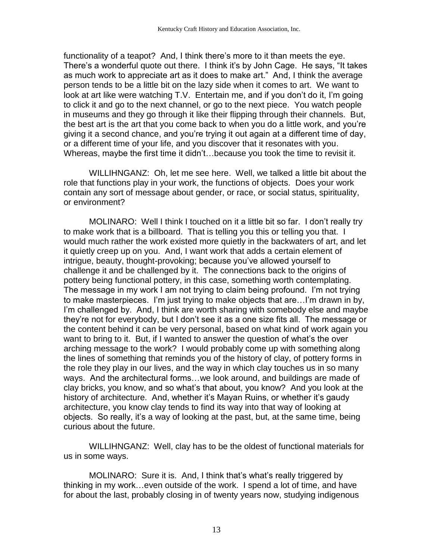functionality of a teapot? And, I think there's more to it than meets the eye. There's a wonderful quote out there. I think it's by John Cage. He says, "It takes as much work to appreciate art as it does to make art." And, I think the average person tends to be a little bit on the lazy side when it comes to art. We want to look at art like were watching T.V. Entertain me, and if you don't do it, I'm going to click it and go to the next channel, or go to the next piece. You watch people in museums and they go through it like their flipping through their channels. But, the best art is the art that you come back to when you do a little work, and you're giving it a second chance, and you're trying it out again at a different time of day, or a different time of your life, and you discover that it resonates with you. Whereas, maybe the first time it didn't…because you took the time to revisit it.

WILLIHNGANZ: Oh, let me see here. Well, we talked a little bit about the role that functions play in your work, the functions of objects. Does your work contain any sort of message about gender, or race, or social status, spirituality, or environment?

MOLINARO: Well I think I touched on it a little bit so far. I don't really try to make work that is a billboard. That is telling you this or telling you that. I would much rather the work existed more quietly in the backwaters of art, and let it quietly creep up on you. And, I want work that adds a certain element of intrigue, beauty, thought-provoking; because you've allowed yourself to challenge it and be challenged by it. The connections back to the origins of pottery being functional pottery, in this case, something worth contemplating. The message in my work I am not trying to claim being profound. I'm not trying to make masterpieces. I'm just trying to make objects that are…I'm drawn in by, I'm challenged by. And, I think are worth sharing with somebody else and maybe they're not for everybody, but I don't see it as a one size fits all. The message or the content behind it can be very personal, based on what kind of work again you want to bring to it. But, if I wanted to answer the question of what's the over arching message to the work? I would probably come up with something along the lines of something that reminds you of the history of clay, of pottery forms in the role they play in our lives, and the way in which clay touches us in so many ways. And the architectural forms…we look around, and buildings are made of clay bricks, you know, and so what's that about, you know? And you look at the history of architecture. And, whether it's Mayan Ruins, or whether it's gaudy architecture, you know clay tends to find its way into that way of looking at objects. So really, it's a way of looking at the past, but, at the same time, being curious about the future.

WILLIHNGANZ: Well, clay has to be the oldest of functional materials for us in some ways.

MOLINARO: Sure it is. And, I think that's what's really triggered by thinking in my work…even outside of the work. I spend a lot of time, and have for about the last, probably closing in of twenty years now, studying indigenous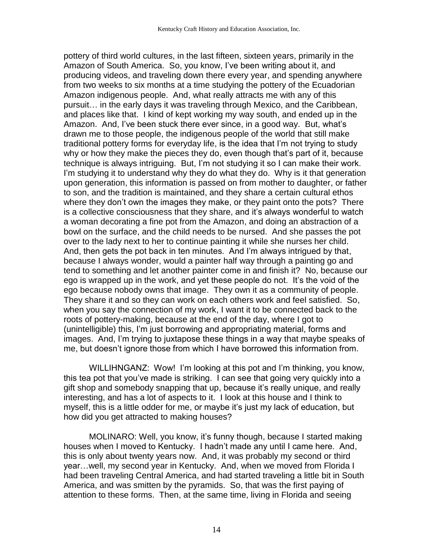pottery of third world cultures, in the last fifteen, sixteen years, primarily in the Amazon of South America. So, you know, I've been writing about it, and producing videos, and traveling down there every year, and spending anywhere from two weeks to six months at a time studying the pottery of the Ecuadorian Amazon indigenous people. And, what really attracts me with any of this pursuit… in the early days it was traveling through Mexico, and the Caribbean, and places like that. I kind of kept working my way south, and ended up in the Amazon. And, I've been stuck there ever since, in a good way. But, what's drawn me to those people, the indigenous people of the world that still make traditional pottery forms for everyday life, is the idea that I'm not trying to study why or how they make the pieces they do, even though that's part of it, because technique is always intriguing. But, I'm not studying it so I can make their work. I'm studying it to understand why they do what they do. Why is it that generation upon generation, this information is passed on from mother to daughter, or father to son, and the tradition is maintained, and they share a certain cultural ethos where they don't own the images they make, or they paint onto the pots? There is a collective consciousness that they share, and it's always wonderful to watch a woman decorating a fine pot from the Amazon, and doing an abstraction of a bowl on the surface, and the child needs to be nursed. And she passes the pot over to the lady next to her to continue painting it while she nurses her child. And, then gets the pot back in ten minutes. And I'm always intrigued by that, because I always wonder, would a painter half way through a painting go and tend to something and let another painter come in and finish it? No, because our ego is wrapped up in the work, and yet these people do not. It's the void of the ego because nobody owns that image. They own it as a community of people. They share it and so they can work on each others work and feel satisfied. So, when you say the connection of my work, I want it to be connected back to the roots of pottery-making, because at the end of the day, where I got to (unintelligible) this, I'm just borrowing and appropriating material, forms and images. And, I'm trying to juxtapose these things in a way that maybe speaks of me, but doesn't ignore those from which I have borrowed this information from.

WILLIHNGANZ: Wow! I'm looking at this pot and I'm thinking, you know, this tea pot that you've made is striking. I can see that going very quickly into a gift shop and somebody snapping that up, because it's really unique, and really interesting, and has a lot of aspects to it. I look at this house and I think to myself, this is a little odder for me, or maybe it's just my lack of education, but how did you get attracted to making houses?

MOLINARO: Well, you know, it's funny though, because I started making houses when I moved to Kentucky. I hadn't made any until I came here. And, this is only about twenty years now. And, it was probably my second or third year…well, my second year in Kentucky. And, when we moved from Florida I had been traveling Central America, and had started traveling a little bit in South America, and was smitten by the pyramids. So, that was the first paying of attention to these forms. Then, at the same time, living in Florida and seeing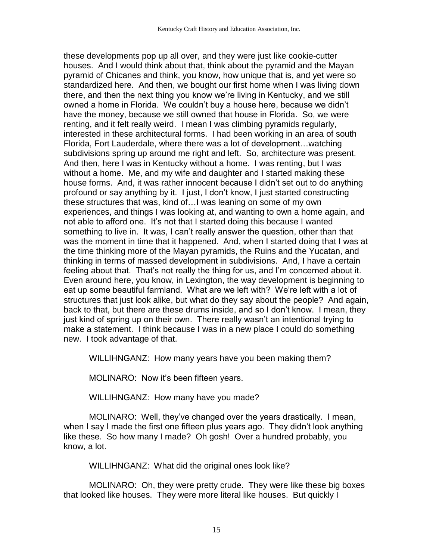these developments pop up all over, and they were just like cookie-cutter houses. And I would think about that, think about the pyramid and the Mayan pyramid of Chicanes and think, you know, how unique that is, and yet were so standardized here. And then, we bought our first home when I was living down there, and then the next thing you know we're living in Kentucky, and we still owned a home in Florida. We couldn't buy a house here, because we didn't have the money, because we still owned that house in Florida. So, we were renting, and it felt really weird. I mean I was climbing pyramids regularly, interested in these architectural forms. I had been working in an area of south Florida, Fort Lauderdale, where there was a lot of development…watching subdivisions spring up around me right and left. So, architecture was present. And then, here I was in Kentucky without a home. I was renting, but I was without a home. Me, and my wife and daughter and I started making these house forms. And, it was rather innocent because I didn't set out to do anything profound or say anything by it. I just, I don't know, I just started constructing these structures that was, kind of…I was leaning on some of my own experiences, and things I was looking at, and wanting to own a home again, and not able to afford one. It's not that I started doing this because I wanted something to live in. It was, I can't really answer the question, other than that was the moment in time that it happened. And, when I started doing that I was at the time thinking more of the Mayan pyramids, the Ruins and the Yucatan, and thinking in terms of massed development in subdivisions. And, I have a certain feeling about that. That's not really the thing for us, and I'm concerned about it. Even around here, you know, in Lexington, the way development is beginning to eat up some beautiful farmland. What are we left with? We're left with a lot of structures that just look alike, but what do they say about the people? And again, back to that, but there are these drums inside, and so I don't know. I mean, they just kind of spring up on their own. There really wasn't an intentional trying to make a statement. I think because I was in a new place I could do something new. I took advantage of that.

WILLIHNGANZ: How many years have you been making them?

MOLINARO: Now it's been fifteen years.

WILLIHNGANZ: How many have you made?

MOLINARO: Well, they've changed over the years drastically. I mean, when I say I made the first one fifteen plus years ago. They didn't look anything like these. So how many I made? Oh gosh! Over a hundred probably, you know, a lot.

WILLIHNGANZ: What did the original ones look like?

MOLINARO: Oh, they were pretty crude. They were like these big boxes that looked like houses. They were more literal like houses. But quickly I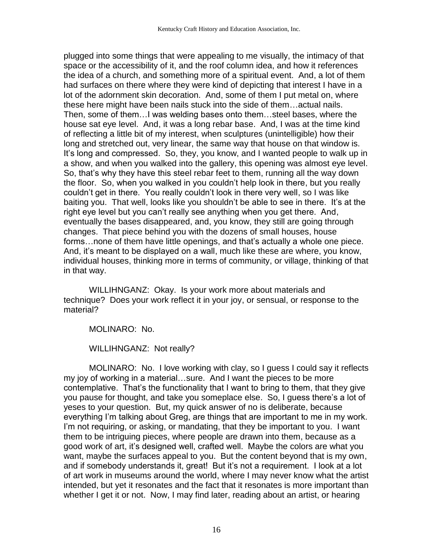plugged into some things that were appealing to me visually, the intimacy of that space or the accessibility of it, and the roof column idea, and how it references the idea of a church, and something more of a spiritual event. And, a lot of them had surfaces on there where they were kind of depicting that interest I have in a lot of the adornment skin decoration. And, some of them I put metal on, where these here might have been nails stuck into the side of them…actual nails. Then, some of them…I was welding bases onto them…steel bases, where the house sat eye level. And, it was a long rebar base. And, I was at the time kind of reflecting a little bit of my interest, when sculptures (unintelligible) how their long and stretched out, very linear, the same way that house on that window is. It's long and compressed. So, they, you know, and I wanted people to walk up in a show, and when you walked into the gallery, this opening was almost eye level. So, that's why they have this steel rebar feet to them, running all the way down the floor. So, when you walked in you couldn't help look in there, but you really couldn't get in there. You really couldn't look in there very well, so I was like baiting you. That well, looks like you shouldn't be able to see in there. It's at the right eye level but you can't really see anything when you get there. And, eventually the bases disappeared, and, you know, they still are going through changes. That piece behind you with the dozens of small houses, house forms…none of them have little openings, and that's actually a whole one piece. And, it's meant to be displayed on a wall, much like these are where, you know, individual houses, thinking more in terms of community, or village, thinking of that in that way.

WILLIHNGANZ: Okay. Is your work more about materials and technique? Does your work reflect it in your joy, or sensual, or response to the material?

MOLINARO: No.

WILLIHNGANZ: Not really?

MOLINARO: No. I love working with clay, so I guess I could say it reflects my joy of working in a material…sure. And I want the pieces to be more contemplative. That's the functionality that I want to bring to them, that they give you pause for thought, and take you someplace else. So, I guess there's a lot of yeses to your question. But, my quick answer of no is deliberate, because everything I'm talking about Greg, are things that are important to me in my work. I'm not requiring, or asking, or mandating, that they be important to you. I want them to be intriguing pieces, where people are drawn into them, because as a good work of art, it's designed well, crafted well. Maybe the colors are what you want, maybe the surfaces appeal to you. But the content beyond that is my own, and if somebody understands it, great! But it's not a requirement. I look at a lot of art work in museums around the world, where I may never know what the artist intended, but yet it resonates and the fact that it resonates is more important than whether I get it or not. Now, I may find later, reading about an artist, or hearing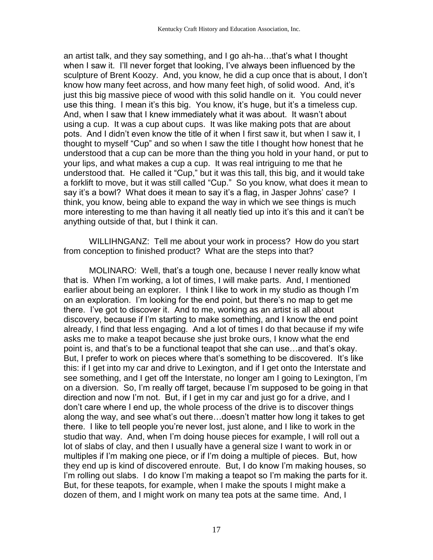an artist talk, and they say something, and I go ah-ha…that's what I thought when I saw it. I'll never forget that looking, I've always been influenced by the sculpture of Brent Koozy. And, you know, he did a cup once that is about, I don't know how many feet across, and how many feet high, of solid wood. And, it's just this big massive piece of wood with this solid handle on it. You could never use this thing. I mean it's this big. You know, it's huge, but it's a timeless cup. And, when I saw that I knew immediately what it was about. It wasn't about using a cup. It was a cup about cups. It was like making pots that are about pots. And I didn't even know the title of it when I first saw it, but when I saw it, I thought to myself "Cup" and so when I saw the title I thought how honest that he understood that a cup can be more than the thing you hold in your hand, or put to your lips, and what makes a cup a cup. It was real intriguing to me that he understood that. He called it "Cup," but it was this tall, this big, and it would take a forklift to move, but it was still called "Cup." So you know, what does it mean to say it's a bowl? What does it mean to say it's a flag, in Jasper Johns' case? I think, you know, being able to expand the way in which we see things is much more interesting to me than having it all neatly tied up into it's this and it can't be anything outside of that, but I think it can.

WILLIHNGANZ: Tell me about your work in process? How do you start from conception to finished product? What are the steps into that?

MOLINARO: Well, that's a tough one, because I never really know what that is. When I'm working, a lot of times, I will make parts. And, I mentioned earlier about being an explorer. I think I like to work in my studio as though I'm on an exploration. I'm looking for the end point, but there's no map to get me there. I've got to discover it. And to me, working as an artist is all about discovery, because if I'm starting to make something, and I know the end point already, I find that less engaging. And a lot of times I do that because if my wife asks me to make a teapot because she just broke ours, I know what the end point is, and that's to be a functional teapot that she can use…and that's okay. But, I prefer to work on pieces where that's something to be discovered. It's like this: if I get into my car and drive to Lexington, and if I get onto the Interstate and see something, and I get off the Interstate, no longer am I going to Lexington, I'm on a diversion. So, I'm really off target, because I'm supposed to be going in that direction and now I'm not. But, if I get in my car and just go for a drive, and I don't care where I end up, the whole process of the drive is to discover things along the way, and see what's out there…doesn't matter how long it takes to get there. I like to tell people you're never lost, just alone, and I like to work in the studio that way. And, when I'm doing house pieces for example, I will roll out a lot of slabs of clay, and then I usually have a general size I want to work in or multiples if I'm making one piece, or if I'm doing a multiple of pieces. But, how they end up is kind of discovered enroute. But, I do know I'm making houses, so I'm rolling out slabs. I do know I'm making a teapot so I'm making the parts for it. But, for these teapots, for example, when I make the spouts I might make a dozen of them, and I might work on many tea pots at the same time. And, I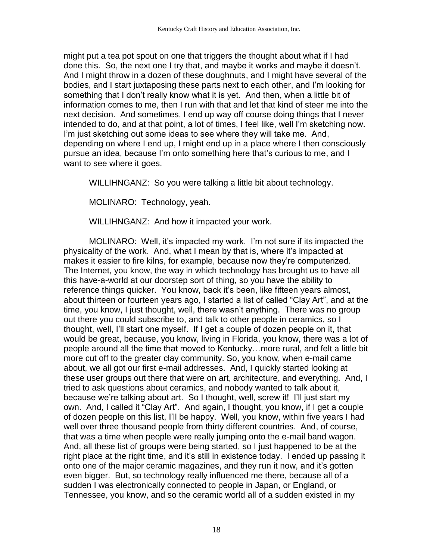might put a tea pot spout on one that triggers the thought about what if I had done this. So, the next one I try that, and maybe it works and maybe it doesn't. And I might throw in a dozen of these doughnuts, and I might have several of the bodies, and I start juxtaposing these parts next to each other, and I'm looking for something that I don't really know what it is yet. And then, when a little bit of information comes to me, then I run with that and let that kind of steer me into the next decision. And sometimes, I end up way off course doing things that I never intended to do, and at that point, a lot of times, I feel like, well I'm sketching now. I'm just sketching out some ideas to see where they will take me. And, depending on where I end up, I might end up in a place where I then consciously pursue an idea, because I'm onto something here that's curious to me, and I want to see where it goes.

WILLIHNGANZ: So you were talking a little bit about technology.

MOLINARO: Technology, yeah.

WILLIHNGANZ: And how it impacted your work.

MOLINARO: Well, it's impacted my work. I'm not sure if its impacted the physicality of the work. And, what I mean by that is, where it's impacted at makes it easier to fire kilns, for example, because now they're computerized. The Internet, you know, the way in which technology has brought us to have all this have-a-world at our doorstep sort of thing, so you have the ability to reference things quicker. You know, back it's been, like fifteen years almost, about thirteen or fourteen years ago, I started a list of called "Clay Art", and at the time, you know, I just thought, well, there wasn't anything. There was no group out there you could subscribe to, and talk to other people in ceramics, so I thought, well, I'll start one myself. If I get a couple of dozen people on it, that would be great, because, you know, living in Florida, you know, there was a lot of people around all the time that moved to Kentucky…more rural, and felt a little bit more cut off to the greater clay community. So, you know, when e-mail came about, we all got our first e-mail addresses. And, I quickly started looking at these user groups out there that were on art, architecture, and everything. And, I tried to ask questions about ceramics, and nobody wanted to talk about it, because we're talking about art. So I thought, well, screw it! I'll just start my own. And, I called it "Clay Art". And again, I thought, you know, if I get a couple of dozen people on this list, I'll be happy. Well, you know, within five years I had well over three thousand people from thirty different countries. And, of course, that was a time when people were really jumping onto the e-mail band wagon. And, all these list of groups were being started, so I just happened to be at the right place at the right time, and it's still in existence today. I ended up passing it onto one of the major ceramic magazines, and they run it now, and it's gotten even bigger. But, so technology really influenced me there, because all of a sudden I was electronically connected to people in Japan, or England, or Tennessee, you know, and so the ceramic world all of a sudden existed in my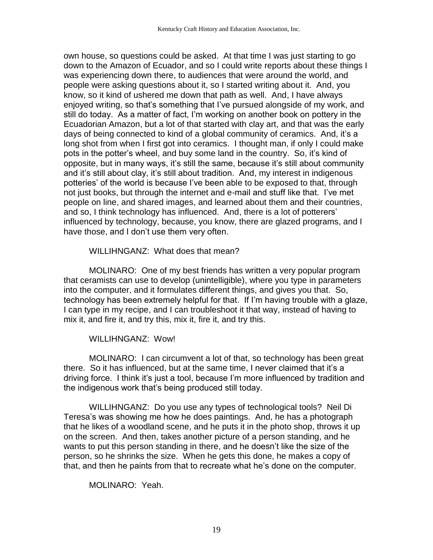own house, so questions could be asked. At that time I was just starting to go down to the Amazon of Ecuador, and so I could write reports about these things I was experiencing down there, to audiences that were around the world, and people were asking questions about it, so I started writing about it. And, you know, so it kind of ushered me down that path as well. And, I have always enjoyed writing, so that's something that I've pursued alongside of my work, and still do today. As a matter of fact, I'm working on another book on pottery in the Ecuadorian Amazon, but a lot of that started with clay art, and that was the early days of being connected to kind of a global community of ceramics. And, it's a long shot from when I first got into ceramics. I thought man, if only I could make pots in the potter's wheel, and buy some land in the country. So, it's kind of opposite, but in many ways, it's still the same, because it's still about community and it's still about clay, it's still about tradition. And, my interest in indigenous potteries' of the world is because I've been able to be exposed to that, through not just books, but through the internet and e-mail and stuff like that. I've met people on line, and shared images, and learned about them and their countries, and so, I think technology has influenced. And, there is a lot of potterers' influenced by technology, because, you know, there are glazed programs, and I have those, and I don't use them very often.

WILLIHNGANZ: What does that mean?

MOLINARO: One of my best friends has written a very popular program that ceramists can use to develop (unintelligible), where you type in parameters into the computer, and it formulates different things, and gives you that. So, technology has been extremely helpful for that. If I'm having trouble with a glaze, I can type in my recipe, and I can troubleshoot it that way, instead of having to mix it, and fire it, and try this, mix it, fire it, and try this.

## WILLIHNGANZ: Wow!

MOLINARO: I can circumvent a lot of that, so technology has been great there. So it has influenced, but at the same time, I never claimed that it's a driving force. I think it's just a tool, because I'm more influenced by tradition and the indigenous work that's being produced still today.

WILLIHNGANZ: Do you use any types of technological tools? Neil Di Teresa's was showing me how he does paintings. And, he has a photograph that he likes of a woodland scene, and he puts it in the photo shop, throws it up on the screen. And then, takes another picture of a person standing, and he wants to put this person standing in there, and he doesn't like the size of the person, so he shrinks the size. When he gets this done, he makes a copy of that, and then he paints from that to recreate what he's done on the computer.

MOLINARO: Yeah.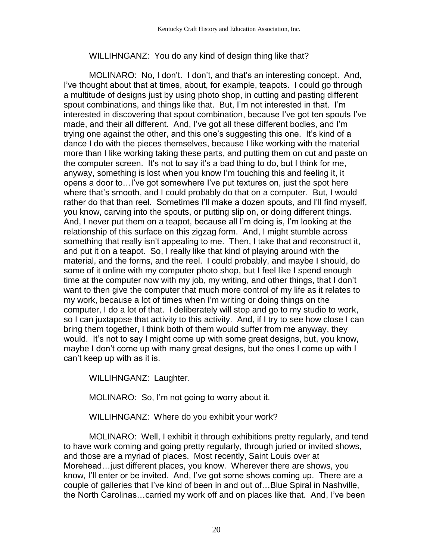### WILLIHNGANZ: You do any kind of design thing like that?

MOLINARO: No, I don't. I don't, and that's an interesting concept. And, I've thought about that at times, about, for example, teapots. I could go through a multitude of designs just by using photo shop, in cutting and pasting different spout combinations, and things like that. But, I'm not interested in that. I'm interested in discovering that spout combination, because I've got ten spouts I've made, and their all different. And, I've got all these different bodies, and I'm trying one against the other, and this one's suggesting this one. It's kind of a dance I do with the pieces themselves, because I like working with the material more than I like working taking these parts, and putting them on cut and paste on the computer screen. It's not to say it's a bad thing to do, but I think for me, anyway, something is lost when you know I'm touching this and feeling it, it opens a door to…I've got somewhere I've put textures on, just the spot here where that's smooth, and I could probably do that on a computer. But, I would rather do that than reel. Sometimes I'll make a dozen spouts, and I'll find myself, you know, carving into the spouts, or putting slip on, or doing different things. And, I never put them on a teapot, because all I'm doing is, I'm looking at the relationship of this surface on this zigzag form. And, I might stumble across something that really isn't appealing to me. Then, I take that and reconstruct it, and put it on a teapot. So, I really like that kind of playing around with the material, and the forms, and the reel. I could probably, and maybe I should, do some of it online with my computer photo shop, but I feel like I spend enough time at the computer now with my job, my writing, and other things, that I don't want to then give the computer that much more control of my life as it relates to my work, because a lot of times when I'm writing or doing things on the computer, I do a lot of that. I deliberately will stop and go to my studio to work, so I can juxtapose that activity to this activity. And, if I try to see how close I can bring them together, I think both of them would suffer from me anyway, they would. It's not to say I might come up with some great designs, but, you know, maybe I don't come up with many great designs, but the ones I come up with I can't keep up with as it is.

WILLIHNGANZ: Laughter.

MOLINARO: So, I'm not going to worry about it.

WILLIHNGANZ: Where do you exhibit your work?

MOLINARO: Well, I exhibit it through exhibitions pretty regularly, and tend to have work coming and going pretty regularly, through juried or invited shows, and those are a myriad of places. Most recently, Saint Louis over at Morehead…just different places, you know. Wherever there are shows, you know, I'll enter or be invited. And, I've got some shows coming up. There are a couple of galleries that I've kind of been in and out of…Blue Spiral in Nashville, the North Carolinas…carried my work off and on places like that. And, I've been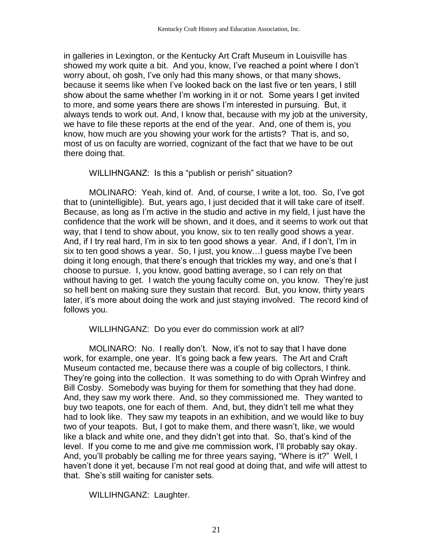in galleries in Lexington, or the Kentucky Art Craft Museum in Louisville has showed my work quite a bit. And you, know, I've reached a point where I don't worry about, oh gosh, I've only had this many shows, or that many shows, because it seems like when I've looked back on the last five or ten years, I still show about the same whether I'm working in it or not. Some years I get invited to more, and some years there are shows I'm interested in pursuing. But, it always tends to work out. And, I know that, because with my job at the university, we have to file these reports at the end of the year. And, one of them is, you know, how much are you showing your work for the artists? That is, and so, most of us on faculty are worried, cognizant of the fact that we have to be out there doing that.

WILLIHNGANZ: Is this a "publish or perish" situation?

MOLINARO: Yeah, kind of. And, of course, I write a lot, too. So, I've got that to (unintelligible). But, years ago, I just decided that it will take care of itself. Because, as long as I'm active in the studio and active in my field, I just have the confidence that the work will be shown, and it does, and it seems to work out that way, that I tend to show about, you know, six to ten really good shows a year. And, if I try real hard, I'm in six to ten good shows a year. And, if I don't, I'm in six to ten good shows a year. So, I just, you know…I guess maybe I've been doing it long enough, that there's enough that trickles my way, and one's that I choose to pursue. I, you know, good batting average, so I can rely on that without having to get. I watch the young faculty come on, you know. They're just so hell bent on making sure they sustain that record. But, you know, thirty years later, it's more about doing the work and just staying involved. The record kind of follows you.

WILLIHNGANZ: Do you ever do commission work at all?

MOLINARO: No. I really don't. Now, it's not to say that I have done work, for example, one year. It's going back a few years. The Art and Craft Museum contacted me, because there was a couple of big collectors, I think. They're going into the collection. It was something to do with Oprah Winfrey and Bill Cosby. Somebody was buying for them for something that they had done. And, they saw my work there. And, so they commissioned me. They wanted to buy two teapots, one for each of them. And, but, they didn't tell me what they had to look like. They saw my teapots in an exhibition, and we would like to buy two of your teapots. But, I got to make them, and there wasn't, like, we would like a black and white one, and they didn't get into that. So, that's kind of the level. If you come to me and give me commission work, I'll probably say okay. And, you'll probably be calling me for three years saying, "Where is it?" Well, I haven't done it yet, because I'm not real good at doing that, and wife will attest to that. She's still waiting for canister sets.

WILLIHNGANZ: Laughter.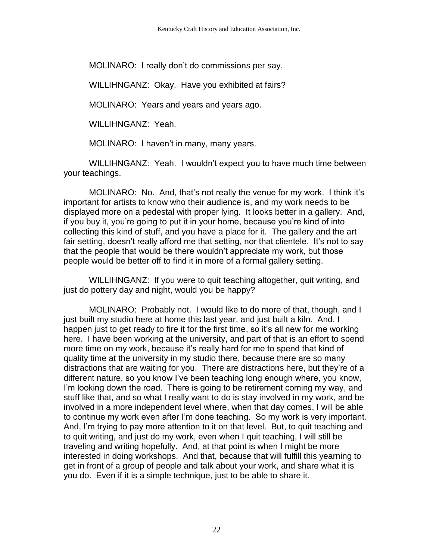MOLINARO: I really don't do commissions per say.

WILLIHNGANZ: Okay. Have you exhibited at fairs?

MOLINARO: Years and years and years ago.

WILLIHNGANZ: Yeah.

MOLINARO: I haven't in many, many years.

WILLIHNGANZ: Yeah. I wouldn't expect you to have much time between your teachings.

MOLINARO: No. And, that's not really the venue for my work. I think it's important for artists to know who their audience is, and my work needs to be displayed more on a pedestal with proper lying. It looks better in a gallery. And, if you buy it, you're going to put it in your home, because you're kind of into collecting this kind of stuff, and you have a place for it. The gallery and the art fair setting, doesn't really afford me that setting, nor that clientele. It's not to say that the people that would be there wouldn't appreciate my work, but those people would be better off to find it in more of a formal gallery setting.

WILLIHNGANZ: If you were to quit teaching altogether, quit writing, and just do pottery day and night, would you be happy?

MOLINARO: Probably not. I would like to do more of that, though, and I just built my studio here at home this last year, and just built a kiln. And, I happen just to get ready to fire it for the first time, so it's all new for me working here. I have been working at the university, and part of that is an effort to spend more time on my work, because it's really hard for me to spend that kind of quality time at the university in my studio there, because there are so many distractions that are waiting for you. There are distractions here, but they're of a different nature, so you know I've been teaching long enough where, you know, I'm looking down the road. There is going to be retirement coming my way, and stuff like that, and so what I really want to do is stay involved in my work, and be involved in a more independent level where, when that day comes, I will be able to continue my work even after I'm done teaching. So my work is very important. And, I'm trying to pay more attention to it on that level. But, to quit teaching and to quit writing, and just do my work, even when I quit teaching, I will still be traveling and writing hopefully. And, at that point is when I might be more interested in doing workshops. And that, because that will fulfill this yearning to get in front of a group of people and talk about your work, and share what it is you do. Even if it is a simple technique, just to be able to share it.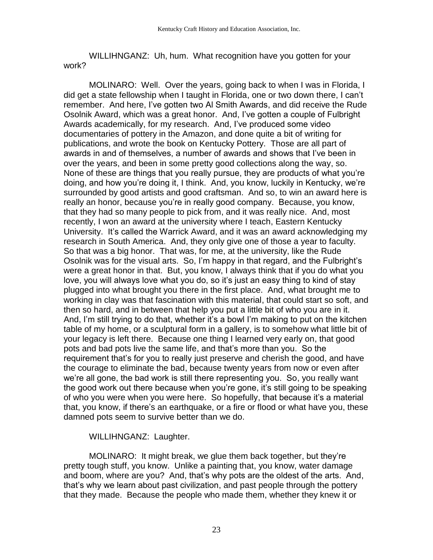WILLIHNGANZ: Uh, hum. What recognition have you gotten for your work?

MOLINARO: Well. Over the years, going back to when I was in Florida, I did get a state fellowship when I taught in Florida, one or two down there, I can't remember. And here, I've gotten two Al Smith Awards, and did receive the Rude Osolnik Award, which was a great honor. And, I've gotten a couple of Fulbright Awards academically, for my research. And, I've produced some video documentaries of pottery in the Amazon, and done quite a bit of writing for publications, and wrote the book on Kentucky Pottery. Those are all part of awards in and of themselves, a number of awards and shows that I've been in over the years, and been in some pretty good collections along the way, so. None of these are things that you really pursue, they are products of what you're doing, and how you're doing it, I think. And, you know, luckily in Kentucky, we're surrounded by good artists and good craftsman. And so, to win an award here is really an honor, because you're in really good company. Because, you know, that they had so many people to pick from, and it was really nice. And, most recently, I won an award at the university where I teach, Eastern Kentucky University. It's called the Warrick Award, and it was an award acknowledging my research in South America. And, they only give one of those a year to faculty. So that was a big honor. That was, for me, at the university, like the Rude Osolnik was for the visual arts. So, I'm happy in that regard, and the Fulbright's were a great honor in that. But, you know, I always think that if you do what you love, you will always love what you do, so it's just an easy thing to kind of stay plugged into what brought you there in the first place. And, what brought me to working in clay was that fascination with this material, that could start so soft, and then so hard, and in between that help you put a little bit of who you are in it. And, I'm still trying to do that, whether it's a bowl I'm making to put on the kitchen table of my home, or a sculptural form in a gallery, is to somehow what little bit of your legacy is left there. Because one thing I learned very early on, that good pots and bad pots live the same life, and that's more than you. So the requirement that's for you to really just preserve and cherish the good, and have the courage to eliminate the bad, because twenty years from now or even after we're all gone, the bad work is still there representing you. So, you really want the good work out there because when you're gone, it's still going to be speaking of who you were when you were here. So hopefully, that because it's a material that, you know, if there's an earthquake, or a fire or flood or what have you, these damned pots seem to survive better than we do.

#### WILLIHNGANZ: Laughter.

MOLINARO: It might break, we glue them back together, but they're pretty tough stuff, you know. Unlike a painting that, you know, water damage and boom, where are you? And, that's why pots are the oldest of the arts. And, that's why we learn about past civilization, and past people through the pottery that they made. Because the people who made them, whether they knew it or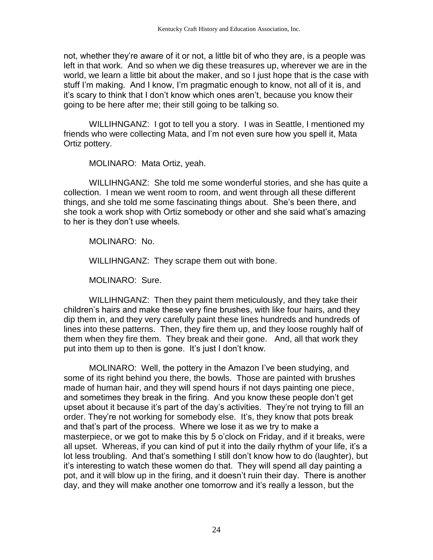not, whether they're aware of it or not, a little bit of who they are, is a people was left in that work. And so when we dig these treasures up, wherever we are in the world, we learn a little bit about the maker, and so I just hope that is the case with stuff I'm making. And I know, I'm pragmatic enough to know, not all of it is, and it's scary to think that I don't know which ones aren't, because you know their going to be here after me; their still going to be talking so.

WILLIHNGANZ: I got to tell you a story. I was in Seattle, I mentioned my friends who were collecting Mata, and I'm not even sure how you spell it, Mata Ortiz pottery.

MOLINARO: Mata Ortiz, yeah.

WILLIHNGANZ: She told me some wonderful stories, and she has quite a collection. I mean we went room to room, and went through all these different things, and she told me some fascinating things about. She's been there, and she took a work shop with Ortiz somebody or other and she said what's amazing to her is they don't use wheels.

MOLINARO: No.

WILLIHNGANZ: They scrape them out with bone.

MOLINARO: Sure.

WILLIHNGANZ: Then they paint them meticulously, and they take their children's hairs and make these very fine brushes, with like four hairs, and they dip them in, and they very carefully paint these lines hundreds and hundreds of lines into these patterns. Then, they fire them up, and they loose roughly half of them when they fire them. They break and their gone. And, all that work they put into them up to then is gone. It's just I don't know.

MOLINARO: Well, the pottery in the Amazon I've been studying, and some of its right behind you there, the bowls. Those are painted with brushes made of human hair, and they will spend hours if not days painting one piece, and sometimes they break in the firing. And you know these people don't get upset about it because it's part of the day's activities. They're not trying to fill an order. They're not working for somebody else. It's, they know that pots break and that's part of the process. Where we lose it as we try to make a masterpiece, or we got to make this by 5 o'clock on Friday, and if it breaks, were all upset. Whereas, if you can kind of put it into the daily rhythm of your life, it's a lot less troubling. And that's something I still don't know how to do (laughter), but it's interesting to watch these women do that. They will spend all day painting a pot, and it will blow up in the firing, and it doesn't ruin their day. There is another day, and they will make another one tomorrow and it's really a lesson, but the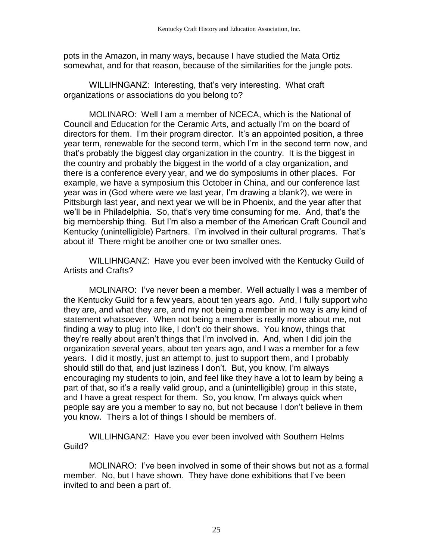pots in the Amazon, in many ways, because I have studied the Mata Ortiz somewhat, and for that reason, because of the similarities for the jungle pots.

WILLIHNGANZ: Interesting, that's very interesting. What craft organizations or associations do you belong to?

MOLINARO: Well I am a member of NCECA, which is the National of Council and Education for the Ceramic Arts, and actually I'm on the board of directors for them. I'm their program director. It's an appointed position, a three year term, renewable for the second term, which I'm in the second term now, and that's probably the biggest clay organization in the country. It is the biggest in the country and probably the biggest in the world of a clay organization, and there is a conference every year, and we do symposiums in other places. For example, we have a symposium this October in China, and our conference last year was in (God where were we last year, I'm drawing a blank?), we were in Pittsburgh last year, and next year we will be in Phoenix, and the year after that we'll be in Philadelphia. So, that's very time consuming for me. And, that's the big membership thing. But I'm also a member of the American Craft Council and Kentucky (unintelligible) Partners. I'm involved in their cultural programs. That's about it! There might be another one or two smaller ones.

WILLIHNGANZ: Have you ever been involved with the Kentucky Guild of Artists and Crafts?

MOLINARO: I've never been a member. Well actually I was a member of the Kentucky Guild for a few years, about ten years ago. And, I fully support who they are, and what they are, and my not being a member in no way is any kind of statement whatsoever. When not being a member is really more about me, not finding a way to plug into like, I don't do their shows. You know, things that they're really about aren't things that I'm involved in. And, when I did join the organization several years, about ten years ago, and I was a member for a few years. I did it mostly, just an attempt to, just to support them, and I probably should still do that, and just laziness I don't. But, you know, I'm always encouraging my students to join, and feel like they have a lot to learn by being a part of that, so it's a really valid group, and a (unintelligible) group in this state, and I have a great respect for them. So, you know, I'm always quick when people say are you a member to say no, but not because I don't believe in them you know. Theirs a lot of things I should be members of.

WILLIHNGANZ: Have you ever been involved with Southern Helms Guild?

MOLINARO: I've been involved in some of their shows but not as a formal member. No, but I have shown. They have done exhibitions that I've been invited to and been a part of.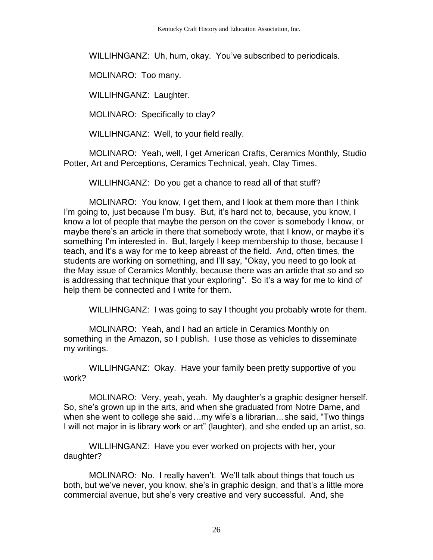WILLIHNGANZ: Uh, hum, okay. You've subscribed to periodicals.

MOLINARO: Too many.

WILLIHNGANZ: Laughter.

MOLINARO: Specifically to clay?

WILLIHNGANZ: Well, to your field really.

MOLINARO: Yeah, well, I get American Crafts, Ceramics Monthly, Studio Potter, Art and Perceptions, Ceramics Technical, yeah, Clay Times.

WILLIHNGANZ: Do you get a chance to read all of that stuff?

MOLINARO: You know, I get them, and I look at them more than I think I'm going to, just because I'm busy. But, it's hard not to, because, you know, I know a lot of people that maybe the person on the cover is somebody I know, or maybe there's an article in there that somebody wrote, that I know, or maybe it's something I'm interested in. But, largely I keep membership to those, because I teach, and it's a way for me to keep abreast of the field. And, often times, the students are working on something, and I'll say, "Okay, you need to go look at the May issue of Ceramics Monthly, because there was an article that so and so is addressing that technique that your exploring". So it's a way for me to kind of help them be connected and I write for them.

WILLIHNGANZ: I was going to say I thought you probably wrote for them.

MOLINARO: Yeah, and I had an article in Ceramics Monthly on something in the Amazon, so I publish. I use those as vehicles to disseminate my writings.

WILLIHNGANZ: Okay. Have your family been pretty supportive of you work?

MOLINARO: Very, yeah, yeah. My daughter's a graphic designer herself. So, she's grown up in the arts, and when she graduated from Notre Dame, and when she went to college she said…my wife's a librarian…she said, "Two things I will not major in is library work or art" (laughter), and she ended up an artist, so.

WILLIHNGANZ: Have you ever worked on projects with her, your daughter?

MOLINARO: No. I really haven't. We'll talk about things that touch us both, but we've never, you know, she's in graphic design, and that's a little more commercial avenue, but she's very creative and very successful. And, she